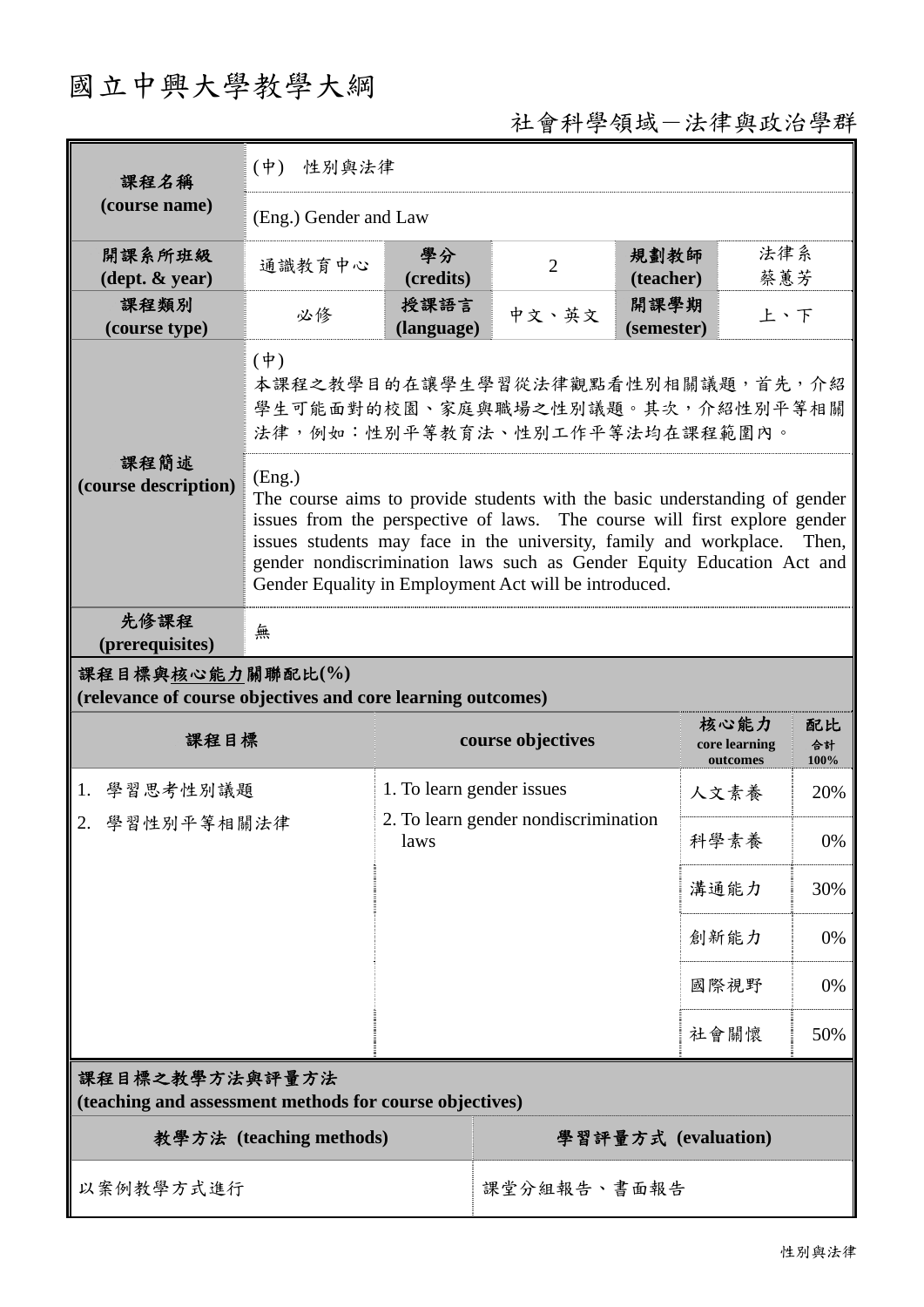# 國立中興大學教學大綱

## 社會科學領域-法律與政治學群

| 課程名稱                                                                            | $(\dot{\Psi})$<br>性別與法律                                                                                                                                                                                                                                                                                                                                                          |                           |                                      |                    |                                   |                  |
|---------------------------------------------------------------------------------|----------------------------------------------------------------------------------------------------------------------------------------------------------------------------------------------------------------------------------------------------------------------------------------------------------------------------------------------------------------------------------|---------------------------|--------------------------------------|--------------------|-----------------------------------|------------------|
| (course name)                                                                   | (Eng.) Gender and Law                                                                                                                                                                                                                                                                                                                                                            |                           |                                      |                    |                                   |                  |
| 開課系所班級<br>$(\text{dept.} \& \text{ year})$                                      | 通識教育中心                                                                                                                                                                                                                                                                                                                                                                           | 學分<br>(credits)           | $\overline{2}$                       | 規劃教師<br>(teacher)  | 法律系<br>蔡蕙芳                        |                  |
| 課程類別<br>(course type)                                                           | 必修                                                                                                                                                                                                                                                                                                                                                                               | 授課語言<br>(language)        | 中文、英文                                | 開課學期<br>(semester) | 上、下                               |                  |
|                                                                                 | $(\phi)$<br>本課程之教學目的在讓學生學習從法律觀點看性別相關議題,首先,介紹<br>學生可能面對的校園、家庭與職場之性別議題。其次,介紹性別平等相關<br>法律,例如:性別平等教育法、性別工作平等法均在課程範圍內。                                                                                                                                                                                                                                                                |                           |                                      |                    |                                   |                  |
| (course description)                                                            | 課程簡述<br>(Eng.)<br>The course aims to provide students with the basic understanding of gender<br>issues from the perspective of laws. The course will first explore gender<br>issues students may face in the university, family and workplace.<br>gender nondiscrimination laws such as Gender Equity Education Act and<br>Gender Equality in Employment Act will be introduced. |                           |                                      |                    |                                   |                  |
| 先修課程<br>(prerequisites)                                                         | 無                                                                                                                                                                                                                                                                                                                                                                                |                           |                                      |                    |                                   |                  |
| 課程目標與核心能力關聯配比(%)<br>(relevance of course objectives and core learning outcomes) |                                                                                                                                                                                                                                                                                                                                                                                  |                           |                                      |                    |                                   |                  |
| 課程目標                                                                            |                                                                                                                                                                                                                                                                                                                                                                                  | course objectives         |                                      |                    |                                   |                  |
|                                                                                 |                                                                                                                                                                                                                                                                                                                                                                                  |                           |                                      |                    | 核心能力<br>core learning<br>outcomes | 配比<br>合計<br>100% |
| 1. 學習思考性別議題                                                                     |                                                                                                                                                                                                                                                                                                                                                                                  | 1. To learn gender issues |                                      |                    | 人文素養                              | 20%              |
| 2. 學習性別平等相關法律                                                                   |                                                                                                                                                                                                                                                                                                                                                                                  | laws                      | 2. To learn gender nondiscrimination |                    | 科學素養                              | $0\%$            |
|                                                                                 |                                                                                                                                                                                                                                                                                                                                                                                  |                           |                                      |                    | 溝通能力                              | 30%              |
|                                                                                 |                                                                                                                                                                                                                                                                                                                                                                                  |                           |                                      |                    | 創新能力                              | 0%               |
|                                                                                 |                                                                                                                                                                                                                                                                                                                                                                                  |                           |                                      |                    | 國際視野                              | 0%               |
|                                                                                 |                                                                                                                                                                                                                                                                                                                                                                                  |                           |                                      |                    | 社會關懷                              | 50%              |
| 課程目標之教學方法與評量方法<br>(teaching and assessment methods for course objectives)       |                                                                                                                                                                                                                                                                                                                                                                                  |                           |                                      |                    |                                   |                  |
|                                                                                 | 教學方法 (teaching methods)                                                                                                                                                                                                                                                                                                                                                          |                           |                                      |                    | 學習評量方式 (evaluation)               |                  |